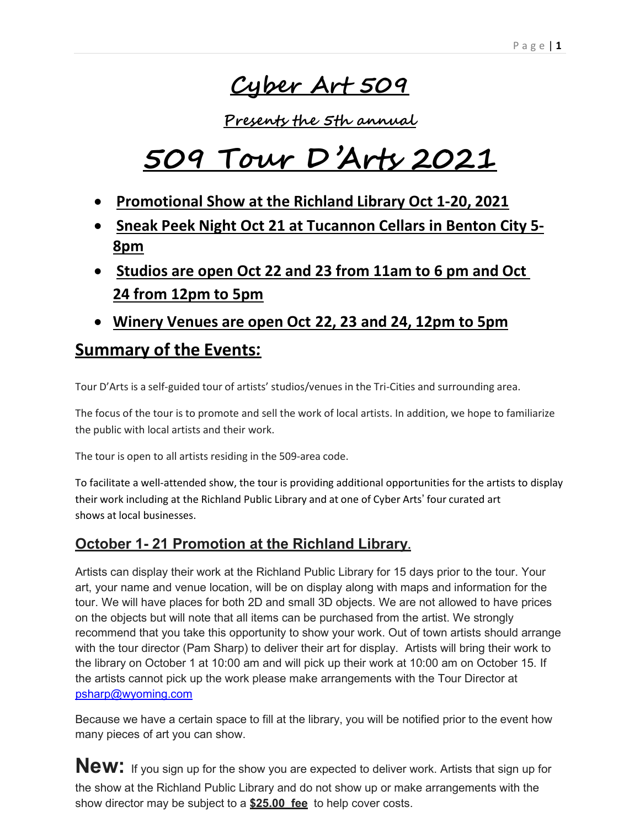## **Cyber Art 509**

**Presents the 5th annual**

# **509 Tour D**'**Arts 2021**

- **Promotional Show at the Richland Library Oct 1-20, 2021**
- **Sneak Peek Night Oct 21 at Tucannon Cellars in Benton City 5- 8pm**
- **Studios are open Oct 22 and 23 from 11am to 6 pm and Oct 24 from 12pm to 5pm**
- **Winery Venues are open Oct 22, 23 and 24, 12pm to 5pm**

## **Summary of the Events:**

Tour D'Arts is a self-guided tour of artists' studios/venues in the Tri-Cities and surrounding area.

The focus of the tour is to promote and sell the work of local artists. In addition, we hope to familiarize the public with local artists and their work.

The tour is open to all artists residing in the 509-area code.

To facilitate a well-attended show, the tour is providing additional opportunities for the artists to display their work including at the Richland Public Library and at one of Cyber Arts' four curated art shows at local businesses.

### **October 1- 21 Promotion at the Richland Library.**

Artists can display their work at the Richland Public Library for 15 days prior to the tour. Your art, your name and venue location, will be on display along with maps and information for the tour. We will have places for both 2D and small 3D objects. We are not allowed to have prices on the objects but will note that all items can be purchased from the artist. We strongly recommend that you take this opportunity to show your work. Out of town artists should arrange with the tour director (Pam Sharp) to deliver their art for display. Artists will bring their work to the library on October 1 at 10:00 am and will pick up their work at 10:00 am on October 15. If the artists cannot pick up the work please make arrangements with the Tour Director at [psharp@wyoming.com](mailto:psharp@wyoming.com)

Because we have a certain space to fill at the library, you will be notified prior to the event how many pieces of art you can show.

**New:** If you sign up for the show you are expected to deliver work. Artists that sign up for the show at the Richland Public Library and do not show up or make arrangements with the show director may be subject to a **\$25.00 fee** to help cover costs.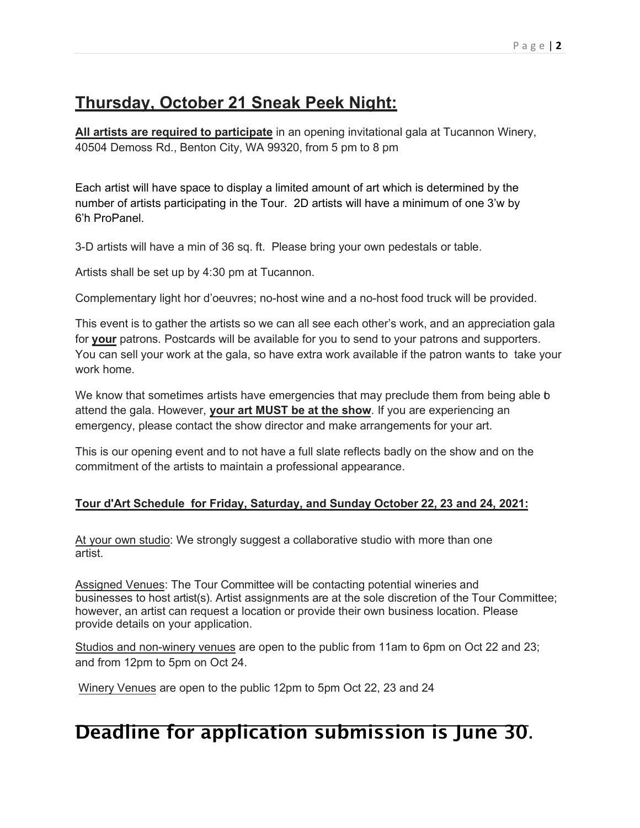## **Thursday, October 21 Sneak Peek Night:**

**All artists are required to participate** in an opening invitational gala at Tucannon Winery, 40504 Demoss Rd., Benton City, WA 99320, from 5 pm to 8 pm

Each artist will have space to display a limited amount of art which is determined by the number of artists participating in the Tour. 2D artists will have a minimum of one 3'w by 6'h ProPanel.

3-D artists will have a min of 36 sq. ft. Please bring your own pedestals or table.

Artists shall be set up by 4:30 pm at Tucannon.

Complementary light hor d'oeuvres; no-host wine and a no-host food truck will be provided.

This event is to gather the artists so we can all see each other's work, and an appreciation gala for **your** patrons. Postcards will be available for you to send to your patrons and supporters. You can sell your work at the gala, so have extra work available if the patron wants to take your work home.

We know that sometimes artists have emergencies that may preclude them from being able b attend the gala. However, **your art MUST be at the show**. If you are experiencing an emergency, please contact the show director and make arrangements for your art.

This is our opening event and to not have a full slate reflects badly on the show and on the commitment of the artists to maintain a professional appearance.

#### **Tour d'Art Schedule for Friday, Saturday, and Sunday October 22, 23 and 24, 2021:**

At your own studio: We strongly suggest a collaborative studio with more than one artist.

Assigned Venues: The Tour Committee will be contacting potential wineries and businesses to host artist(s). Artist assignments are at the sole discretion of the Tour Committee; however, an artist can request a location or provide their own business location. Please provide details on your application.

Studios and non-winery venues are open to the public from 11am to 6pm on Oct 22 and 23; and from 12pm to 5pm on Oct 24.

Winery Venues are open to the public 12pm to 5pm Oct 22, 23 and 24

## Deadline for application submission is June 30.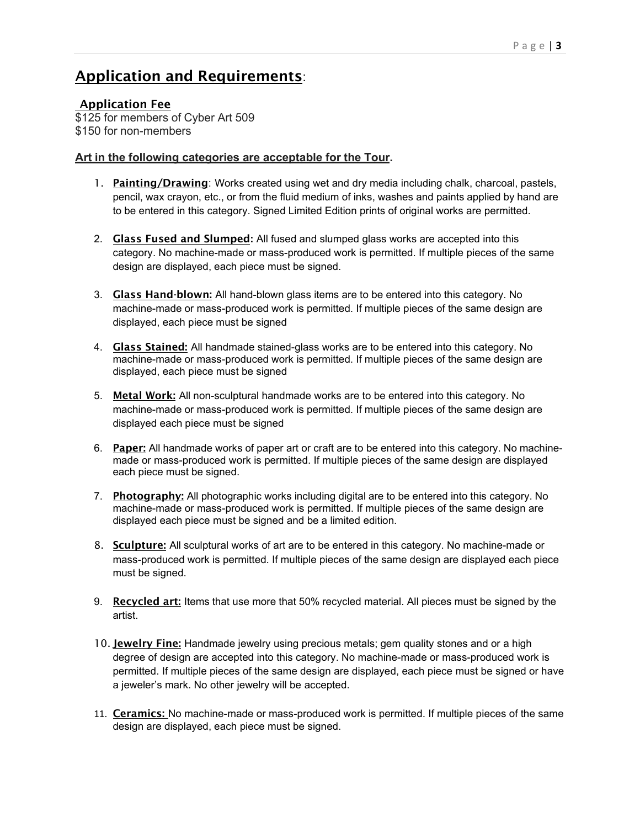## Application and Requirements:

#### Application Fee

\$125 for members of Cyber Art 509 \$150 for non-members

#### **Art in the following categories are acceptable for the Tour.**

- 1. Painting/Drawing: Works created using wet and dry media including chalk, charcoal, pastels, pencil, wax crayon, etc., or from the fluid medium of inks, washes and paints applied by hand are to be entered in this category. Signed Limited Edition prints of original works are permitted.
- 2. Glass Fused and Slumped**:** All fused and slumped glass works are accepted into this category. No machine-made or mass-produced work is permitted. If multiple pieces of the same design are displayed, each piece must be signed.
- 3. Glass Hand-blown: All hand-blown glass items are to be entered into this category. No machine-made or mass-produced work is permitted. If multiple pieces of the same design are displayed, each piece must be signed
- 4. Glass Stained: All handmade stained-glass works are to be entered into this category. No machine-made or mass-produced work is permitted. If multiple pieces of the same design are displayed, each piece must be signed
- 5. Metal Work: All non-sculptural handmade works are to be entered into this category. No machine-made or mass-produced work is permitted. If multiple pieces of the same design are displayed each piece must be signed
- 6. Paper: All handmade works of paper art or craft are to be entered into this category. No machinemade or mass-produced work is permitted. If multiple pieces of the same design are displayed each piece must be signed.
- 7. Photography: All photographic works including digital are to be entered into this category. No machine-made or mass-produced work is permitted. If multiple pieces of the same design are displayed each piece must be signed and be a limited edition.
- 8. **Sculpture:** All sculptural works of art are to be entered in this category. No machine-made or mass-produced work is permitted. If multiple pieces of the same design are displayed each piece must be signed.
- 9. Recycled art: Items that use more that 50% recycled material. All pieces must be signed by the artist.
- 10. **Jewelry Fine:** Handmade jewelry using precious metals; gem quality stones and or a high degree of design are accepted into this category. No machine-made or mass-produced work is permitted. If multiple pieces of the same design are displayed, each piece must be signed or have a jeweler's mark. No other jewelry will be accepted.
- 11. Ceramics: No machine-made or mass-produced work is permitted. If multiple pieces of the same design are displayed, each piece must be signed.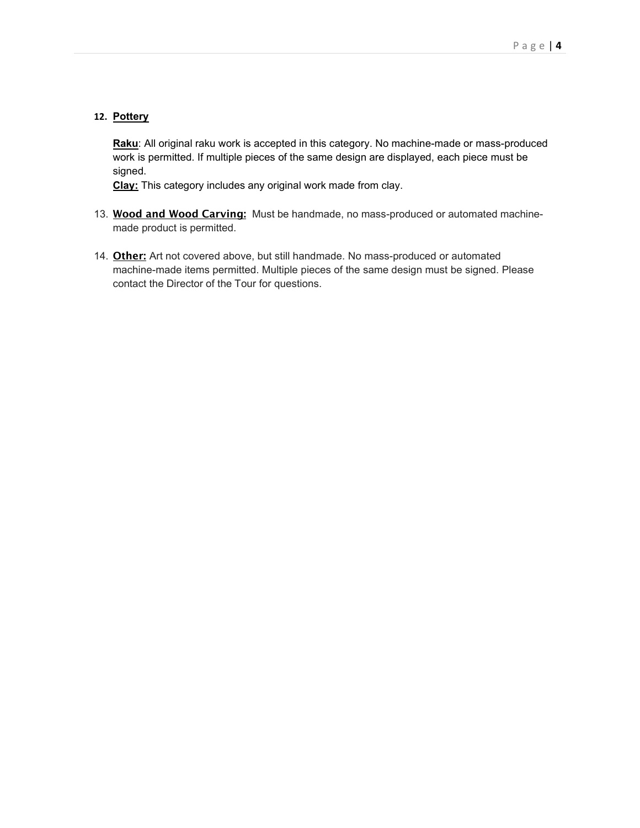#### **12. Pottery**

**Raku**: All original raku work is accepted in this category. No machine-made or mass-produced work is permitted. If multiple pieces of the same design are displayed, each piece must be signed.

**Clay:** This category includes any original work made from clay.

- 13. Wood and Wood Carving: Must be handmade, no mass-produced or automated machinemade product is permitted.
- 14. Other: Art not covered above, but still handmade. No mass-produced or automated machine-made items permitted. Multiple pieces of the same design must be signed. Please contact the Director of the Tour for questions.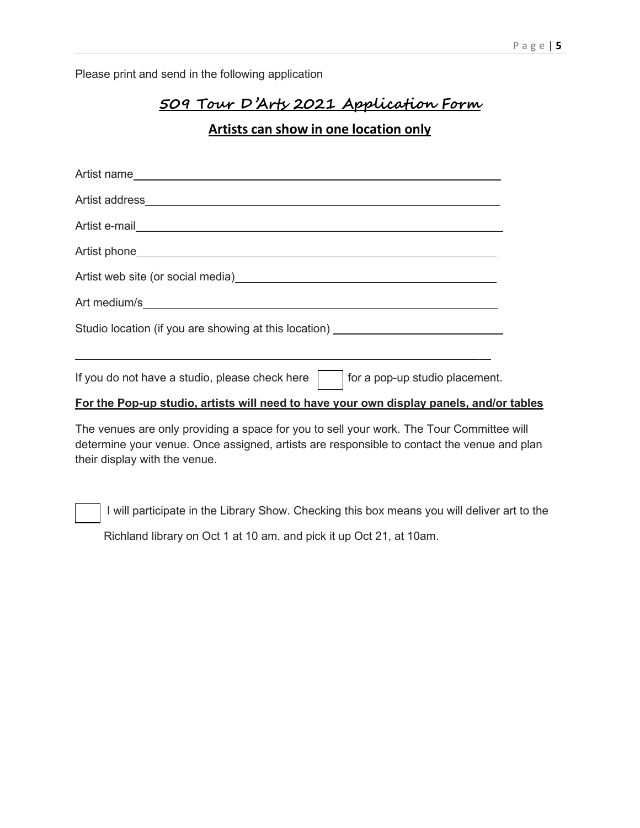Please print and send in the following application

#### **509 Tour D**'**Arts 2021 Application Form**

#### **Artists can show in one location only**

| Studio location (if you are showing at this location) __________________________        |  |  |  |
|-----------------------------------------------------------------------------------------|--|--|--|
| If you do not have a studio, please check here $\vert$   for a pop-up studio placement. |  |  |  |
| For the Pop-up studio, artists will need to have your own display panels, and/or tables |  |  |  |

The venues are only providing a space for you to sell your work. The Tour Committee will determine your venue. Once assigned, artists are responsible to contact the venue and plan their display with the venue.

I will participate in the Library Show. Checking this box means you will deliver art to the Richland library on Oct 1 at 10 am. and pick it up Oct 21, at 10am.